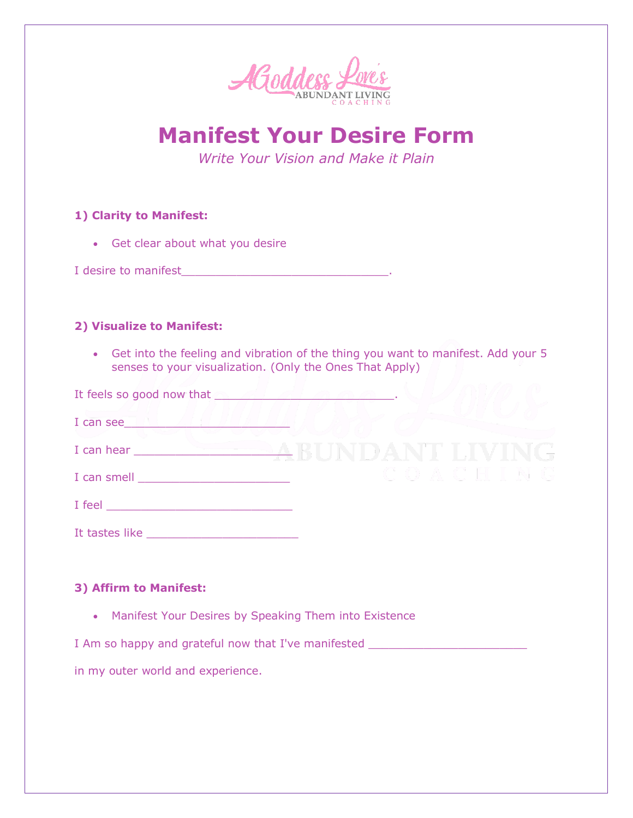

**Manifest Your Desire Form**

*Write Your Vision and Make it Plain*

# **1) Clarity to Manifest:**

• Get clear about what you desire

I desire to manifest\_\_\_\_\_\_\_\_\_\_\_\_\_\_\_\_\_\_\_\_\_\_\_\_\_\_\_\_\_\_.

# **2) Visualize to Manifest:**

• Get into the feeling and vibration of the thing you want to manifest. Add your 5 senses to your visualization. (Only the Ones That Apply)

| It feels so good now that |  |  |  |
|---------------------------|--|--|--|
| I can see                 |  |  |  |
| I can hear                |  |  |  |
| I can smell               |  |  |  |
| I feel                    |  |  |  |

### **3) Affirm to Manifest:**

• Manifest Your Desires by Speaking Them into Existence

I Am so happy and grateful now that I've manifested \_\_\_\_\_\_\_\_\_\_\_\_\_\_\_\_\_\_\_\_\_\_\_\_\_\_\_\_

in my outer world and experience.

It tastes like \_\_\_\_\_\_\_\_\_\_\_\_\_\_\_\_\_\_\_\_\_\_